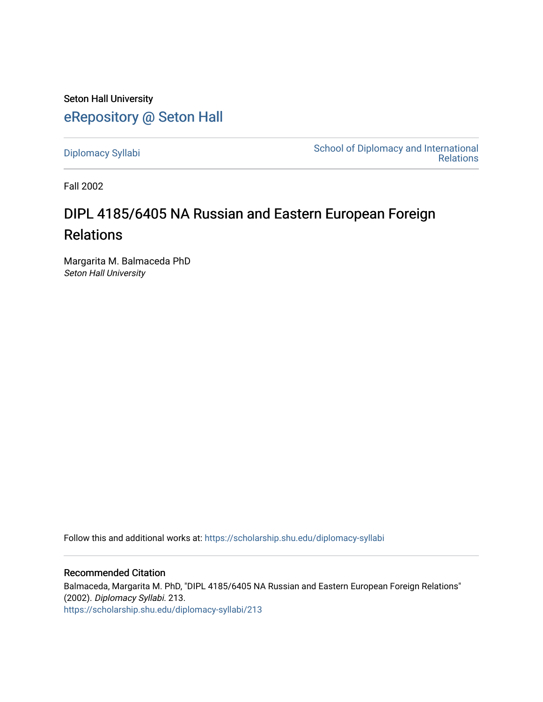Seton Hall University [eRepository @ Seton Hall](https://scholarship.shu.edu/)

[Diplomacy Syllabi](https://scholarship.shu.edu/diplomacy-syllabi) [School of Diplomacy and International](https://scholarship.shu.edu/diplomacy)  [Relations](https://scholarship.shu.edu/diplomacy) 

Fall 2002

# DIPL 4185/6405 NA Russian and Eastern European Foreign Relations

Margarita M. Balmaceda PhD Seton Hall University

Follow this and additional works at: [https://scholarship.shu.edu/diplomacy-syllabi](https://scholarship.shu.edu/diplomacy-syllabi?utm_source=scholarship.shu.edu%2Fdiplomacy-syllabi%2F213&utm_medium=PDF&utm_campaign=PDFCoverPages) 

## Recommended Citation

Balmaceda, Margarita M. PhD, "DIPL 4185/6405 NA Russian and Eastern European Foreign Relations" (2002). Diplomacy Syllabi. 213. [https://scholarship.shu.edu/diplomacy-syllabi/213](https://scholarship.shu.edu/diplomacy-syllabi/213?utm_source=scholarship.shu.edu%2Fdiplomacy-syllabi%2F213&utm_medium=PDF&utm_campaign=PDFCoverPages)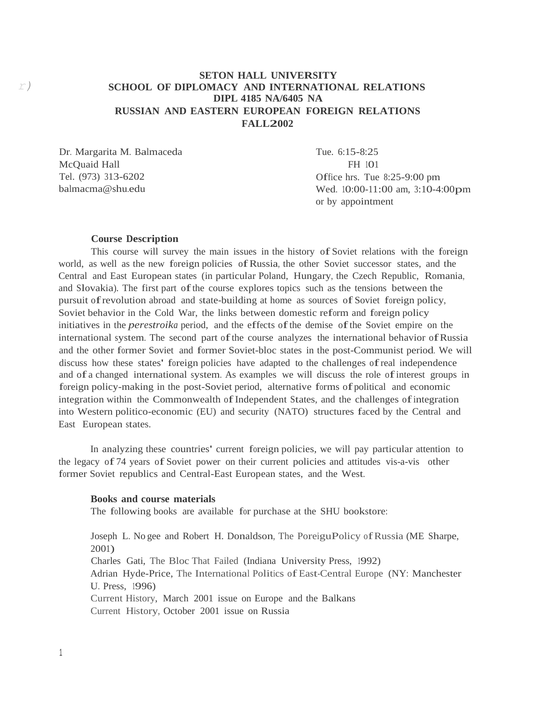## **SETON HALL UNIVERSITY** *r)* **SCHOOL OF DIPLOMACY AND INTERNATIONAL RELATIONS DIPL 4185 NA/6405 NA RUSSIAN AND EASTERN EUROPEAN FOREIGN RELATIONS FALL2002**

Dr. Margarita M. Balmaceda McQuaid Hall Tel. (973) 313-620[2](mailto:balmacma@shu.edu) [balmacma@shu.edu](mailto:balmacma@shu.edu)

Tue. 6:15-8:25 FH 101 Office hrs. Tue 8:25-9:00 pm Wed. 10:00-11:00 am, 3:10-4:00pm or by appointment

#### **Course Description**

This course will survey the main issues in the history of Soviet relations with the foreign world, as well as the new foreign policies ofRussia, the other Soviet successor states, and the Central and East European states (in particular Poland, Hungary, the Czech Republic, Romania, and Slovakia). The first part of the course explores topics such as the tensions between the pursuit ofrevolution abroad and state-building at home as sources of Soviet foreign policy, Soviet behavior in the Cold War, the links between domestic reform and foreign policy initiatives in the *perestroika* period, and the effects ofthe demise ofthe Soviet empire on the international system. The second part ofthe course analyzes the international behavior ofRussia and the other former Soviet and former Soviet-bloc states in the post-Communist period. We will discuss how these states' foreign policies have adapted to the challenges ofreal independence and of <sup>a</sup> changed international system. As examples we will discuss the role ofinterest groups in foreign policy-making in the post-Soviet period, alternative forms of political and economic integration within the Commonwealth of Independent States, and the challenges of integration into Western politico-economic (EU) and security (NATO) structures faced by the Central and East European states.

In analyzing these countries' current foreign policies, we will pay particular attention to the legacy of <sup>74</sup> years of Soviet power on their current policies and attitudes vis-a-vis other former Soviet republics and Central-East European states, and the West.

#### **Books and course materials**

The following books are available for purchase at the SHU bookstore:

Joseph L. No gee and Robert H. Donaldson, The PoreiguPolicy of Russia (ME Sharpe, 2001) Charles Gati, The Bloc That Failed (Indiana University Press, 1992) Adrian Hyde-Price, The International Politics ofEast-Central Europe (NY: Manchester U. Press, 1996) Current History, March 2001 issue on Europe and the Balkans Current History, October 2001 issue on Russia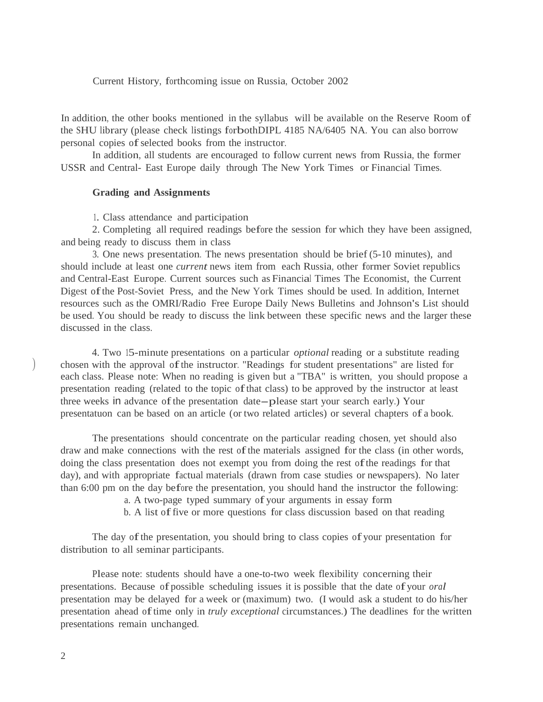#### Current History, forthcoming issue on Russia, October 2002

In addition, the other books mentioned in the syllabus will be available on the Reserve Room of the SHU library (please check listings forbothDIPL <sup>4185</sup> NA/6405 NA. You can also borrow personal copies of selected books from the instructor.

In addition, all students are encouraged to follow current news from Russia, the former USSR and Central- East Europe daily through The New York Times or Financial Times.

#### **Grading and Assignments**

1. Class attendance and participation

2. Completing all required readings before the session for which they have been assigned, and being ready to discuss them in class

3. One news presentation. The news presentation should be brief (5-10 minutes), and should include at least one *current* news item from each Russia, other former Soviet republics and Central-East Europe. Current sources such as Financial Times The Economist, the Current Digest ofthe Post-Soviet Press, and the New York Times should be used. In addition, Internet resources such as the OMRI/Radio Free Europe Daily News Bulletins and Johnson's List should be used. You should be ready to discuss the link between these specific news and the larger these discussed in the class.

4. Two 15-minute presentations on a particular *optional* reading or a substitute reading chosen with the approval of the instructor. "Readings for student presentations" are listed for each class. Please note: When no reading is given but a "TBA" is written, you should propose a presentation reading (related to the topic ofthat class) to be approved by the instructor at least three weeks in advance ofthe presentation date-please start your search early.) Your presentatuon can be based on an article (or two related articles) or several chapters of <sup>a</sup> book.

The presentations should concentrate on the particular reading chosen, yet should also draw and make connections with the rest ofthe materials assigned for the class (in other words, doing the class presentation does not exempt you from doing the rest ofthe readings for that day), and with appropriate factual materials (drawn from case studies or newspapers). No later than 6:00 pm on the day before the presentation, you should hand the instructor the following:

a. A two-page typed summary of your arguments in essay form

b. <sup>A</sup> list offive or more questions for class discussion based on that reading

The day of the presentation, you should bring to class copies of your presentation for distribution to all seminar participants.

Please note: students should have a one-to-two week flexibility concerning their presentations. Because of possible scheduling issues it is possible that the date of your *oral* presentation may be delayed for a week or (maximum) two. (I would ask a student to do his/her presentation ahead oftime only in *truly exceptional* circumstances.) The deadlines for the written presentations remain unchanged.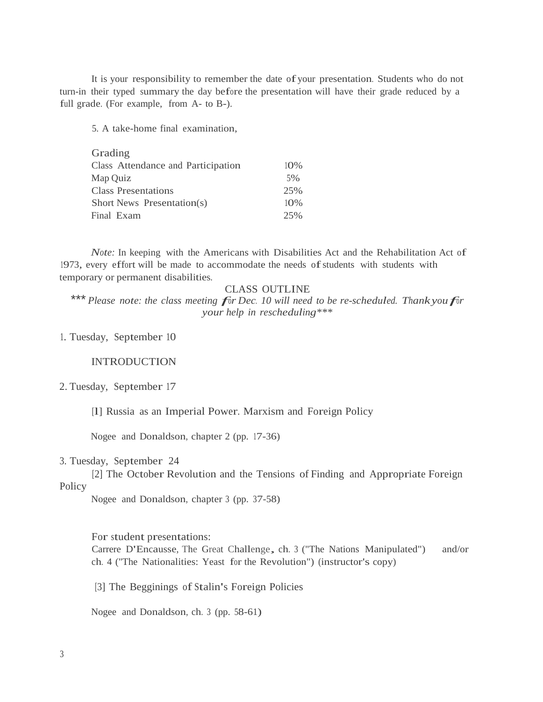It is your responsibility to remember the date ofyour presentation. Students who do not turn-in their typed summary the day before the presentation will have their grade reduced by <sup>a</sup> full grade. (For example, from A- to B-).

5. A take-home final examination,

| Grading                            |     |
|------------------------------------|-----|
| Class Attendance and Participation | 10% |
| Map Quiz                           | 5%  |
| <b>Class Presentations</b>         | 25% |
| Short News Presentation(s)         | 10% |
| Final Exam                         | 25% |

*Note:* In keeping with the Americans with Disabilities Act and the Rehabilitation Act of 1973, every effort will be made to accommodate the needs ofstudents with students with temporary or permanent disabilities.

## CLASS OUTLINE

\*\*\* *Please note: the class meeting for Dec. <sup>10</sup> will need to be re-scheduled. Thankyoufor your help in rescheduling\*\*\**

## 1. Tuesday, September 10

## INTRODUCTION

#### 2. Tuesday, September 17

[l] Russia as an Imperial Power. Marxism and Foreign Policy

Nogee and Donaldson, chapter 2 (pp. 17-36)

## 3. Tuesday, September 24

Policy [2] The October Revolution and the Tensions of Finding and Appropriate Foreign

Nogee and Donaldson, chapter <sup>3</sup> (pp. 37-58)

#### For student presentations:

Carrere D'Encausse, The Great Challenge, ch. <sup>3</sup> ("The Nations Manipulated") and/or ch. 4 ("The Nationalities: Yeast for the Revolution") (instructor's copy)

[3] The Begginings of Stalin's Foreign Policies

Nogee and Donaldson, ch. 3 (pp. 58-61)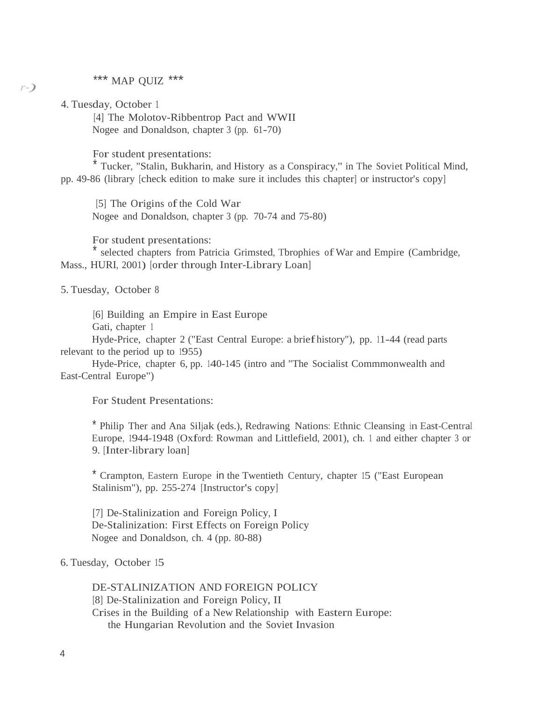# \*\*\* MAP QUIZ \*\*\*

4. Tuesday, October <sup>1</sup>

*,r-)*

[4] The Molotov-Ribbentrop Pact and WWII Nogee and Donaldson, chapter <sup>3</sup> (pp. 61-70)

For student presentations:

\* Tucker, "Stalin, Bukharin, and History as a Conspiracy," in The Soviet Political Mind, pp. 49-86 (library [check edition to make sure it includes this chapter] or instructor's copy]

[5] The Origins of the Cold War Nogee and Donaldson, chapter 3 (pp. 70-74 and 75-80)

For student presentations:

selected chapters from Patricia Grimsted, Tbrophies of War and Empire (Cambridge, Mass., HURI, 2001) [order through Inter-Library Loan]

5. Tuesday, October 8

[6] Building an Empire in East Europe

Gati, chapter 1

Hyde-Price, chapter 2 ("East Central Europe: a briefhistory"), pp. 11-44 (read parts relevant to the period up to 1955)

Hyde-Price, chapter 6, pp. 140-145 (intro and "The Socialist Commmonwealth and East-Central Europe")

For Student Presentations:

\* Philip Ther and Ana Siljak (eds.), Redrawing Nations: Ethnic Cleansing in East-Central Europe, 1944-1948 (Oxford: Rowman and Littlefield, 2001), ch. 1 and either chapter <sup>3</sup> or 9. [Inter-library loan]

\* Crampton, Eastern Europe in the Twentieth Century, chapter 15 ("East European Stalinism"), pp. 255-274 [Instructor's copy]

[7] De-Stalinization and Foreign Policy, I De-Stalinization: First Effects on Foreign Policy Nogee and Donaldson, ch. 4 (pp. 80-88)

## 6. Tuesday, October 15

DE-STALINIZATION AND FOREIGN POLICY [8] De-Stalinization and Foreign Policy, II Crises in the Building of a New Relationship with Eastern Europe: the Hungarian Revolution and the Soviet Invasion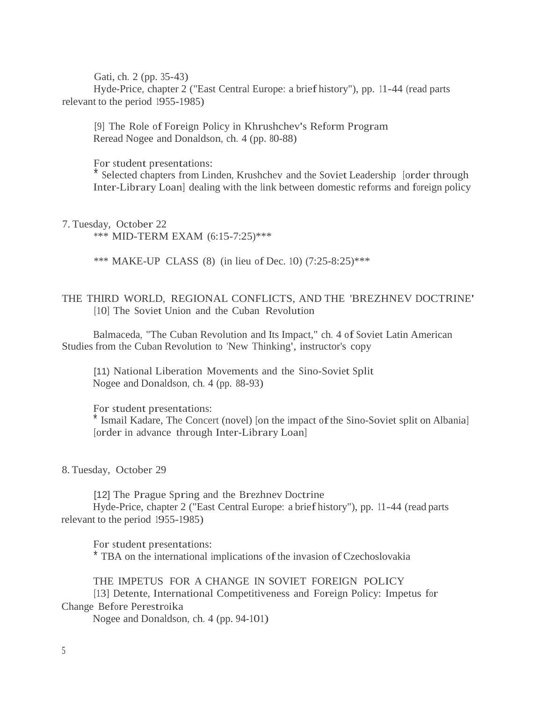Gati, ch. 2 (pp. 35-43) Hyde-Price, chapter 2 ("East Central Europe: a briefhistory"), pp. 11-44 (read parts relevant to the period 1955-1985)

[9] The Role of Foreign Policy in Khrushchev's Reform Program Reread Nogee and Donaldson, ch. 4 (pp. 80-88)

For student presentations:

Selected chapters from Linden, Krushchev and the Soviet Leadership [order through Inter-Library Loan] dealing with the link between domestic reforms and foreign policy

7. Tuesday, October 22

\*\*\* MID-TERM EXAM (6:15-7:25)\*\*\*

\*\*\* MAKE-UP CLASS (8) (in lieu of Dec. 10) (7:25-8:25)\*\*\*

## THE THIRD WORLD, REGIONAL CONFLICTS, AND THE 'BREZHNEV DOCTRINE' [10] The Soviet Union and the Cuban Revolution

Balmaceda, "The Cuban Revolution and Its Impact," ch. 4 of Soviet Latin American Studies from the Cuban Revolution to 'New Thinking', instructor's copy

[11) National Liberation Movements and the Sino-Soviet Split Nogee and Donaldson, ch. 4 (pp. 88-93)

For student presentations: \* Ismail Kadare, The Concert (novel) [on the impact ofthe Sino-Soviet split on Albania] [order in advance through Inter-Library Loan]

8. Tuesday, October 29

[12] The Prague Spring and the Brezhnev Doctrine Hyde-Price, chapter 2 ("East Central Europe: a briefhistory"), pp. 11-44 (read parts relevant to the period 1955-1985)

For student presentations: \* TBA on the international implications of the invasion of Czechoslovakia

THE IMPETUS FOR A CHANGE IN SOVIET FOREIGN POLICY [13] Detente, International Competitiveness and Foreign Policy: Impetus for Change Before Perestroika

Nogee and Donaldson, ch. 4 (pp. 94-101)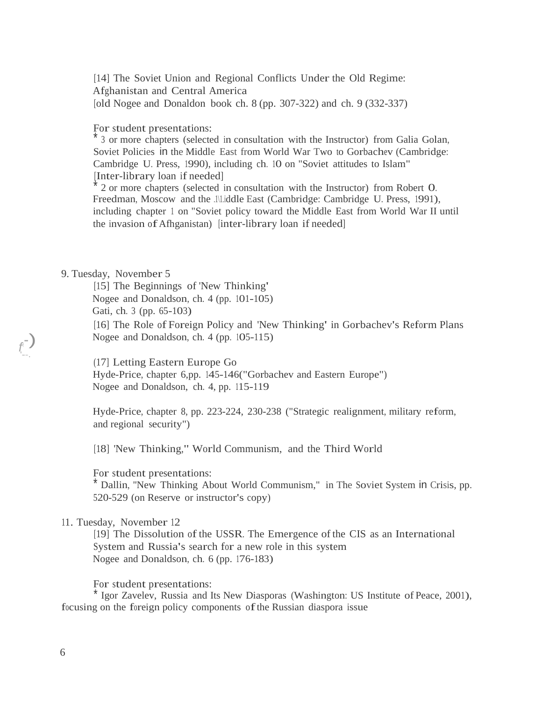[14] The Soviet Union and Regional Conflicts Under the Old Regime: Afghanistan and Central America [old Nogee and Donaldon book ch. 8 (pp. 307-322) and ch. 9 (332-337)

## For student presentations:

\* 3 or more chapters (selected in consultation with the Instructor) from Galia Golan, Soviet Policies in the Middle East from World War Two to Gorbachev (Cambridge: Cambridge U. Press, 1990), including ch. 10 on "Soviet attitudes to Islam" [Inter-library loan if needed]

\* 2 or more chapters (selected in consultation with the Instructor) from Robert 0. Freedman, Moscow and the .<sup>1</sup>|1.iddle East (Cambridge: Cambridge U. Press, 1991), including chapter 1 on "Soviet policy toward the Middle East from World War II until the invasion ofAfhganistan) [inter-library loan if needed]

#### 9. Tuesday, November 5

[15] The Beginnings of 'New Thinking' Nogee and Donaldson, ch. 4 (pp. 101-105) Gati, ch. <sup>3</sup> (pp. 65-103) [16] The Role of Foreign Policy and 'New Thinking' in Gorbachev's Reform Plans Nogee and Donaldson, ch. 4 (pp. 105-115)

(17] Letting Eastern Europe Go Hyde-Price, chapter 6,pp. 145-146("Gorbachev and Eastern Europe") Nogee and Donaldson, ch. 4, pp. 115-119

Hyde-Price, chapter 8, pp. 223-224, 230-238 ("Strategic realignment, military reform, and regional security")

[18] 'New Thinking,'' World Communism, and the Third World

For student presentations:

\* Dallin, ''New Thinking About World Communism," in The Soviet System in Crisis, pp. 520-529 (on Reserve or instructor's copy)

#### 11. Tuesday, November 12

[19] The Dissolution of the USSR. The Emergence of the CIS as an International System and Russia's search for a new role in this system Nogee and Donaldson, ch. 6 (pp. 176-183)

For student presentations:

\* Igor Zavelev, Russia and Its New Diasporas (Washington: US Institute of Peace, 2001), focusing on the foreign policy components ofthe Russian diaspora issue

*f* ,-) '--.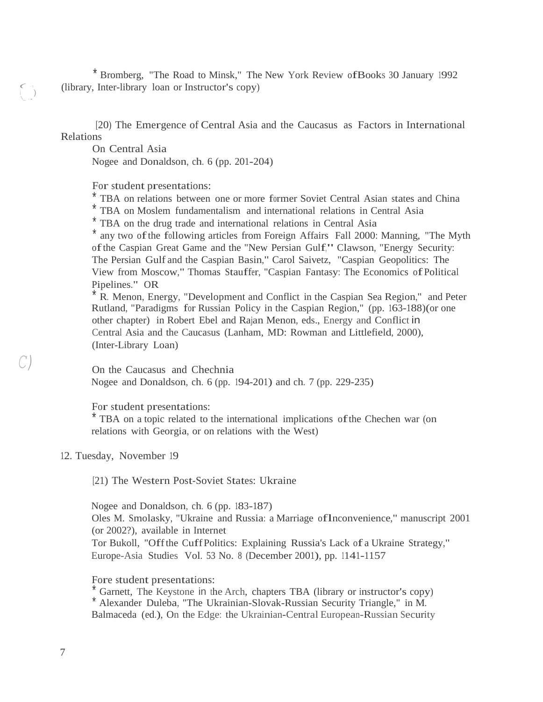\* Bromberg, "The Road to Minsk," The New York Review ofBooks 30 January 1992 (library, Inter-library loan or Instructor's copy)

[20) The Emergence of Central Asia and the Caucasus as Factors in International Relations

On Central Asia

*(* -: i ) \\_ ..

*C)*

Nogee and Donaldson, ch. 6 (pp. 201-204)

For student presentations:

\* TBA on relations between one or more former Soviet Central Asian states and China

\* TBA on Moslem fundamentalism and international relations in Central Asia

\* TBA on the drug trade and international relations in Central Asia

\* any two of the following articles from Foreign Affairs Fall 2000: Manning, "The Myth ofthe Caspian Great Game and the "New Persian Gulf," Clawson, "Energy Security: The Persian Gulf and the Caspian Basin," Carol Saivetz, "Caspian Geopolitics: The View from Moscow," Thomas Stauffer, "Caspian Fantasy: The Economics ofPolitical Pipelines." OR

\* R. Menon, Energy, "Development and Conflict in the Caspian Sea Region," and Peter Rutland, "Paradigms for Russian Policy in the Caspian Region," (pp. 163-188)(or one other chapter) in Robert Ebel and Rajan Menon, eds., Energy and Conflict in Central Asia and the Caucasus (Lanham, MD: Rowman and Littlefield, 2000), (Inter-Library Loan)

On the Caucasus and Chechnia

Nogee and Donaldson, ch. 6 (pp. 194-201) and ch. 7 (pp. 229-235)

For student presentations:

\* TBA on <sup>a</sup> topic related to the international implications ofthe Chechen war (on relations with Georgia, or on relations with the West)

12. Tuesday, November 19

[21) The Western Post-Soviet States: Ukraine

Nogee and Donaldson, ch. 6 (pp. 183-187)

Oles M. Smolasky, "Ukraine and Russia: <sup>a</sup> Marriage oflnconvenience," manuscript <sup>2001</sup> (or 2002?), available in Internet

Tor Bukoll, "Offthe CuffPolitics: Explaining Russia's Lack of <sup>a</sup> Ukraine Strategy," Europe-Asia Studies Vol. <sup>53</sup> No. <sup>8</sup> (December 2001), pp. 1141-1157

Fore student presentations:

Garnett, The Keystone in the Arch, chapters TBA (library or instructor's copy) Alexander Duleba, "The Ukrainian-Slovak-Russian Security Triangle," in M. Balmaceda (ed.), On the Edge: the Ukrainian-Central European-Russian Security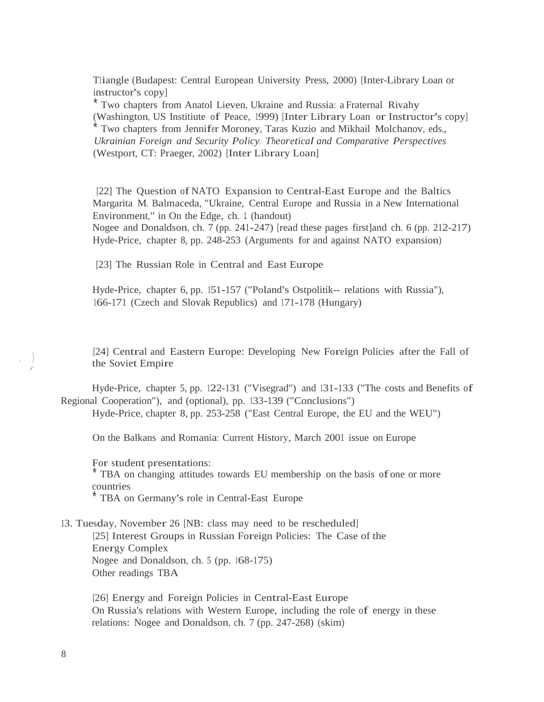T1iangle (Budapest: Central European University Press, 2000) [Inter-Library Loan or instructor's copy]

\* Two chapters from Anatol Lieven, Ukraine and Russia: a Fraternal Rivahy (Washington, US Institiute of Peace, 1999) [Inter Library Loan or Instructor's copy] Two chapters from Jennifer Moroney, Taras Kuzio and Mikhail Molchanov, eds., *Ukrainian Foreign and Security Policy. Theoretical and Comparative Perspectives* (Westport, CT: Praeger, 2002) [Inter Library Loan]

[22] The Question of NATO Expansion to Central-East Europe and the Baltics Margarita M. Balmaceda, "Ukraine, Central Europe and Russia in a New International Environment," in On the Edge, ch. 1 (handout)

Nogee and Donaldson, ch. 7 (pp. 241-247) [read these pages first]and ch. 6 (pp. 212-217) Hyde-Price, chapter 8, pp. 248-253 (Arguments for and against NATO expansion)

[23] The Russian Role in Central and East Europe

Hyde-Price, chapter 6, pp. 151-157 ("Poland's Ostpolitik-- relations with Russia"), 166-171 (Czech and Slovak Republics) and 171-178 (Hungary)

[24] Central and Eastern Europe: Developing New Foreign Policies after the Fall of the Soviet Empire

Hyde-Price, chapter 5, pp. 122-131 ("Visegrad") and 131-133 ("The costs and Benefits of Regional Cooperation"), and (optional), pp. 133-139 ("Conclusions") Hyde-Price, chapter 8, pp. 253-258 ("East Central Europe, the EU and the WEU")

On the Balkans and Romania: Current History, March 2001 issue on Europe

For student presentations: TBA on changing attitudes towards EU membership on the basis of one or more countries TBA on Germany's role in Central-East Europe

13. Tuesday, November 26 [NB: class may need to be rescheduled] [25] Interest Groups in Russian Foreign Policies: The Case of the Energy Complex Nogee and Donaldson, ch. <sup>5</sup> (pp. 168-175) Other readings TBA

[26] Energy and Foreign Policies in Central-East Europe On Russia's relations with Western Europe, including the role of energy in these relations: Nogee and Donaldson, ch. 7 (pp. 247-268) (skim)

 $\begin{array}{c} \hline \end{array}$ *j*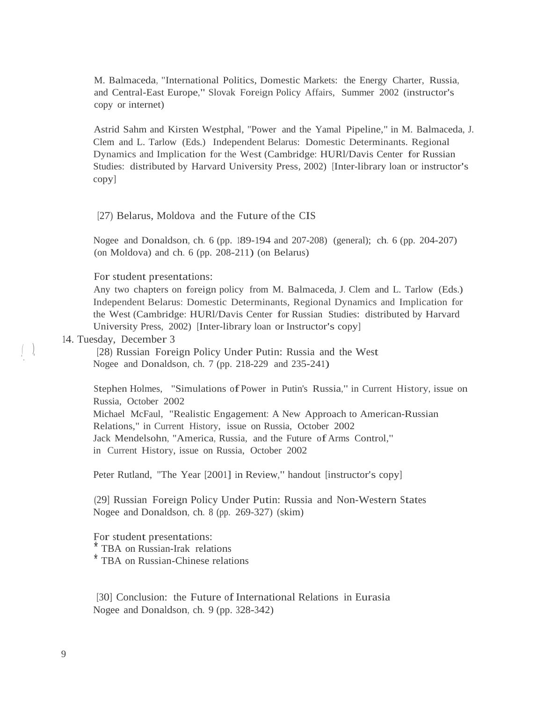M. Balmaceda, "International Politics, Domestic Markets: the Energy Charter, Russia, and Central-East Europe," Slovak Foreign Policy Affairs, Summer 2002 (instructor's copy or internet)

Astrid Sahm and Kirsten Westphal, "Power and the Yamal Pipeline," in M. Balmaceda, J. Clem and L. Tarlow (Eds.) Independent Belarus: Domestic Determinants. Regional Dynamics and Implication for the West (Cambridge: HURl/Davis Center for Russian Studies: distributed by Harvard University Press, 2002) [Inter-library loan or instructor's copy]

[27) Belarus, Moldova and the Future of the CIS

Nogee and Donaldson, ch. 6 (pp. 189-194 and 207-208) (general); ch. 6 (pp. 204-207) (on Moldova) and ch. 6 (pp. 208-211) (on Belarus)

For student presentations:

Any two chapters on foreign policy from M. Balmaceda, J. Clem and L. Tarlow (Eds.) Independent Belarus: Domestic Determinants, Regional Dynamics and Implication for the West (Cambridge: HURl/Davis Center for Russian Studies: distributed by Harvard University Press, 2002) [Inter-library loan or Instructor's copy]

#### 14. Tuesday, December 3

*(* ) '. '

[28) Russian Foreign Policy Under Putin: Russia and the West Nogee and Donaldson, ch. 7 (pp. 218-229 and 235-241)

Stephen Holmes, "Simulations ofPower in Putin's Russia," in Current History, issue on Russia, October 2002 Michael McFaul, "Realistic Engagement: A New Approach to American-Russian Relations," in Current History, issue on Russia, October 2002 Jack Mendelsohn, "America, Russia, and the Future of Arms Control," in Current History, issue on Russia, October 2002

Peter Rutland, "The Year [2001] in Review," handout [instructor's copy]

(29] Russian Foreign Policy Under Putin: Russia and Non-Western States Nogee and Donaldson, ch. 8 (pp. 269-327) (skim)

For student presentations:

\* TBA on Russian-Irak relations

\* TBA on Russian-Chinese relations

[30] Conclusion: the Future of International Relations in Eurasia Nogee and Donaldson, ch. 9 (pp. 328-342)